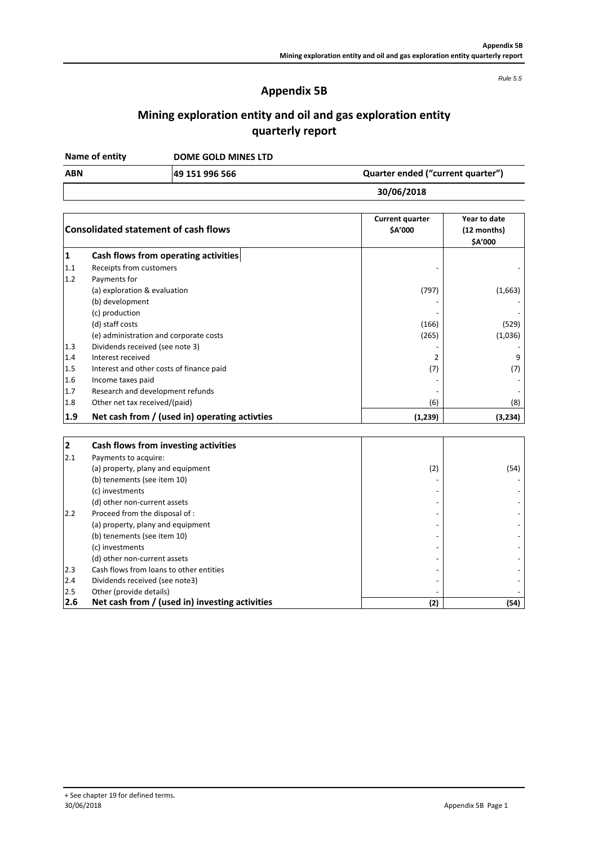# **Appendix 5B**

*Rule 5.5*

# **Mining exploration entity and oil and gas exploration entity quarterly report**

**DOME GOLD MINES LTD Name of entity**

**49 151 996 566 ABN Quarter ended ("current quarter")**

**30/06/2018**

|                | <b>Consolidated statement of cash flows</b>   | <b>Current quarter</b><br><b>SA'000</b> | Year to date<br>(12 months)<br><b>\$A'000</b> |
|----------------|-----------------------------------------------|-----------------------------------------|-----------------------------------------------|
| 1              | Cash flows from operating activities          |                                         |                                               |
| 1.1            | Receipts from customers                       |                                         |                                               |
| 1.2            | Payments for                                  |                                         |                                               |
|                | (a) exploration & evaluation                  | (797)                                   | (1,663)                                       |
|                | (b) development                               |                                         |                                               |
|                | (c) production                                |                                         |                                               |
|                | (d) staff costs                               | (166)                                   | (529)                                         |
|                | (e) administration and corporate costs        | (265)                                   | (1,036)                                       |
| 1.3            | Dividends received (see note 3)               |                                         |                                               |
| 1.4            | Interest received                             | 2                                       | 9                                             |
| 1.5            | Interest and other costs of finance paid      | (7)                                     | (7)                                           |
| 1.6            | Income taxes paid                             |                                         |                                               |
| 1.7            | Research and development refunds              |                                         |                                               |
| 1.8            | Other net tax received/(paid)                 | (6)                                     | (8)                                           |
| 1.9            | Net cash from / (used in) operating activties | (1, 239)                                | (3,234)                                       |
| $\overline{2}$ | Cash flows from investing activities          |                                         |                                               |
| 2.1            | Payments to acquire:                          |                                         |                                               |
|                | (a) property, plany and equipment             | (2)                                     | (54)                                          |
|                | (b) tenements (see item 10)                   |                                         |                                               |
|                | (c) investments                               |                                         |                                               |
|                | (d) other non-current assets                  |                                         |                                               |
| 2.2            | Proceed from the disposal of :                |                                         |                                               |
|                | (a) property, plany and equipment             |                                         |                                               |
|                | (b) tenements (see item 10)                   |                                         |                                               |
|                | (c) investments                               |                                         |                                               |
|                | (d) other non-current assets                  |                                         |                                               |
| 2.3            | Cash flows from loans to other entities       |                                         |                                               |

2.4 Dividends received (see note3)<br>2.5 Other (provide details)

2.5 Other (provide details)<br>**2.6** Net cash from / (us **2.6 Net cash from / (used in) investing activities (2) (54)**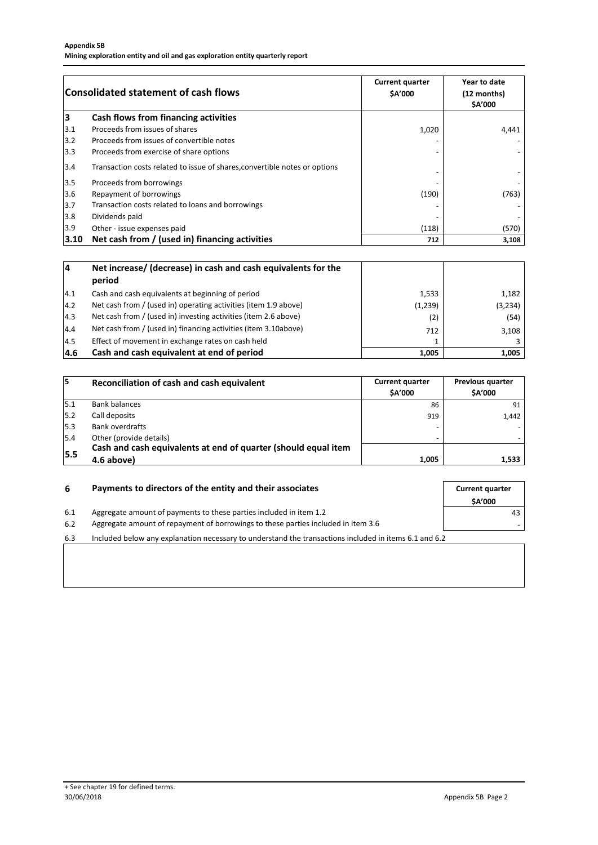| <b>Consolidated statement of cash flows</b> |                                                                            | <b>Current quarter</b><br><b>SA'000</b> | Year to date<br>(12 months)<br>\$A'000 |  |
|---------------------------------------------|----------------------------------------------------------------------------|-----------------------------------------|----------------------------------------|--|
| 3                                           | Cash flows from financing activities                                       |                                         |                                        |  |
| 3.1                                         | Proceeds from issues of shares                                             | 1,020                                   | 4,441                                  |  |
| 3.2                                         | Proceeds from issues of convertible notes                                  |                                         |                                        |  |
| 3.3                                         | Proceeds from exercise of share options                                    |                                         |                                        |  |
| 3.4                                         | Transaction costs related to issue of shares, convertible notes or options |                                         |                                        |  |
| $3.5$                                       | Proceeds from borrowings                                                   |                                         |                                        |  |
| 3.6                                         | Repayment of borrowings                                                    | (190)                                   | (763)                                  |  |
| 3.7                                         | Transaction costs related to loans and borrowings                          |                                         |                                        |  |
| 3.8                                         | Dividends paid                                                             |                                         |                                        |  |
| 3.9                                         | Other - issue expenses paid                                                | (118)                                   | (570)                                  |  |
| 3.10                                        | Net cash from / (used in) financing activities                             | 712                                     | 3,108                                  |  |

| 14            | Net increase/ (decrease) in cash and cash equivalents for the<br>period |         |          |
|---------------|-------------------------------------------------------------------------|---------|----------|
| 4.1           | Cash and cash equivalents at beginning of period                        | 1,533   | 1,182    |
| $ 4.2\rangle$ | Net cash from / (used in) operating activities (item 1.9 above)         | (1,239) | (3, 234) |
| $ 4.3\rangle$ | Net cash from / (used in) investing activities (item 2.6 above)         | (2)     | (54)     |
| 4.4           | Net cash from / (used in) financing activities (item 3.10above)         | 712     | 3,108    |
| 4.5           | Effect of movement in exchange rates on cash held                       |         |          |
| 4.6           | Cash and cash equivalent at end of period                               | 1.005   | 1,005    |

| 15   | Reconciliation of cash and cash equivalent                     | <b>Current quarter</b><br><b>SA'000</b> | <b>Previous quarter</b><br><b>SA'000</b> |
|------|----------------------------------------------------------------|-----------------------------------------|------------------------------------------|
| 15.1 | <b>Bank balances</b>                                           | 86                                      | 91                                       |
| 5.2  | Call deposits                                                  | 919                                     | 1,442                                    |
| 5.3  | Bank overdrafts                                                | -                                       |                                          |
| 5.4  | Other (provide details)                                        |                                         |                                          |
| 15.5 | Cash and cash equivalents at end of quarter (should equal item |                                         |                                          |
|      | 4.6 above)                                                     | 1,005                                   | 1,533                                    |

|     | Payments to directors of the entity and their associates                                              | <b>Current quarter</b><br><b>SA'000</b> |
|-----|-------------------------------------------------------------------------------------------------------|-----------------------------------------|
| 6.1 | Aggregate amount of payments to these parties included in item 1.2                                    | 43.                                     |
| 6.2 | Aggregate amount of repayment of borrowings to these parties included in item 3.6                     |                                         |
| 6.3 | Included below any explanation necessary to understand the transactions included in items 6.1 and 6.2 |                                         |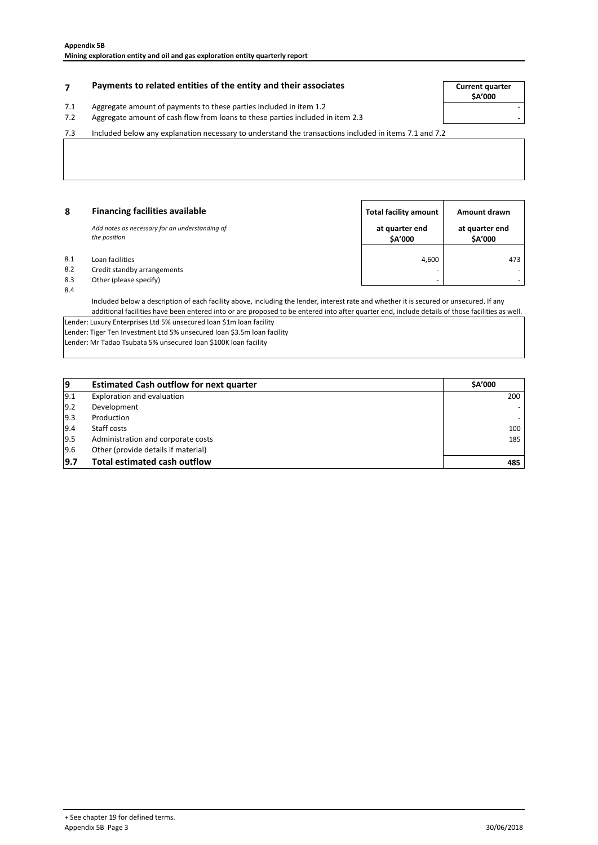## **Payments to related entities of the entity and their associates The Summan Summan Current quarter**

# 7.1 Aggregate amount of payments to these parties included in item 1.2<br>7.2 Aggregate amount of cash flow from loans to these parties included

**\$A'000**

#### 7.2 - Aggregate amount of cash flow from loans to these parties included in item 2.3 7.3

Included below any explanation necessary to understand the transactions included in items 7.1 and 7.2

| 8   | <b>Financing facilities available</b>                          | <b>Total facility amount</b> | Amount drawn              |
|-----|----------------------------------------------------------------|------------------------------|---------------------------|
|     | Add notes as necessary for an understanding of<br>the position | at quarter end<br>\$A'000    | at quarter end<br>\$A'000 |
| 8.1 | Loan facilities                                                | 4,600                        | 473                       |
| 8.2 | Credit standby arrangements                                    |                              |                           |
| 8.3 | Other (please specify)                                         | $\overline{\phantom{a}}$     |                           |
| 8.4 |                                                                |                              |                           |

Included below a description of each facility above, including the lender, interest rate and whether it is secured or unsecured. If any additional facilities have been entered into or are proposed to be entered into after quarter end, include details of those facilities as well.

Lender: Luxury Enterprises Ltd 5% unsecured loan \$1m loan facility Lender: Tiger Ten Investment Ltd 5% unsecured loan \$3.5m loan facility Lender: Mr Tadao Tsubata 5% unsecured loan \$100K loan facility

| 19   | <b>Estimated Cash outflow for next quarter</b> | <b>SA'000</b> |
|------|------------------------------------------------|---------------|
| 19.1 | Exploration and evaluation                     | 200           |
| 9.2  | Development                                    |               |
| 9.3  | Production                                     |               |
| 19.4 | Staff costs                                    | 100           |
| 9.5  | Administration and corporate costs             | 185           |
| 9.6  | Other (provide details if material)            |               |
| 9.7  | <b>Total estimated cash outflow</b>            | 485           |